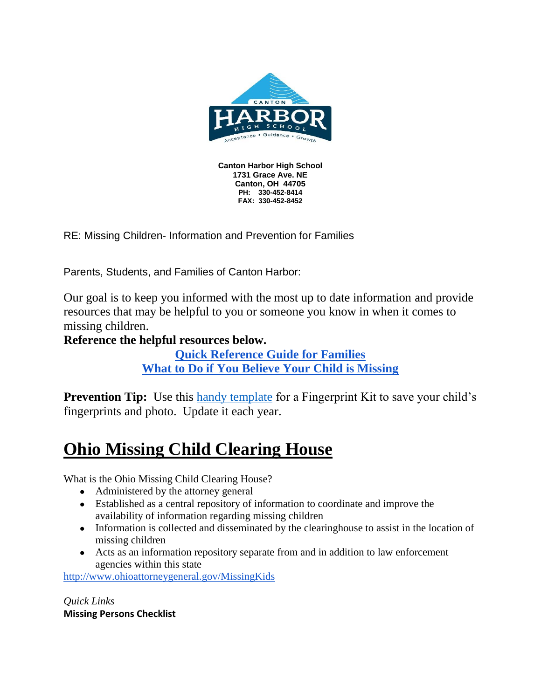

**FAX: 330-452-8452**

RE: Missing Children- Information and Prevention for Families

Parents, Students, and Families of Canton Harbor:

Our goal is to keep you informed with the most up to date information and provide resources that may be helpful to you or someone you know in when it comes to missing children.

## **Reference the helpful resources below.**

**[Quick Reference Guide for Families](https://drive.google.com/file/d/1JGZB1r44IIwskATxXy0EYrCWu-9Ck4vC/view?usp=sharing) [What to Do if You Believe Your Child is Missing](https://drive.google.com/file/d/10U-ufRckUdWIx9B2X51YfPjPPfAYZLs5/view?usp=sharing)**

**Prevention Tip:** Use this [handy template](https://drive.google.com/file/d/1eDsHrQVpZ0_Qkdbjl-VZKTsSvS5HJQQq/view?usp=sharing) for a Fingerprint Kit to save your child's fingerprints and photo. Update it each year.

# **Ohio Missing Child Clearing House**

What is the Ohio Missing Child Clearing House?

- Administered by the attorney general
- Established as a central repository of information to coordinate and improve the availability of information regarding missing children
- Information is collected and disseminated by the clearinghouse to assist in the location of missing children
- Acts as an information repository separate from and in addition to law enforcement agencies within this state

<http://www.ohioattorneygeneral.gov/MissingKids>

*Quick Links* **Missing Persons Checklist**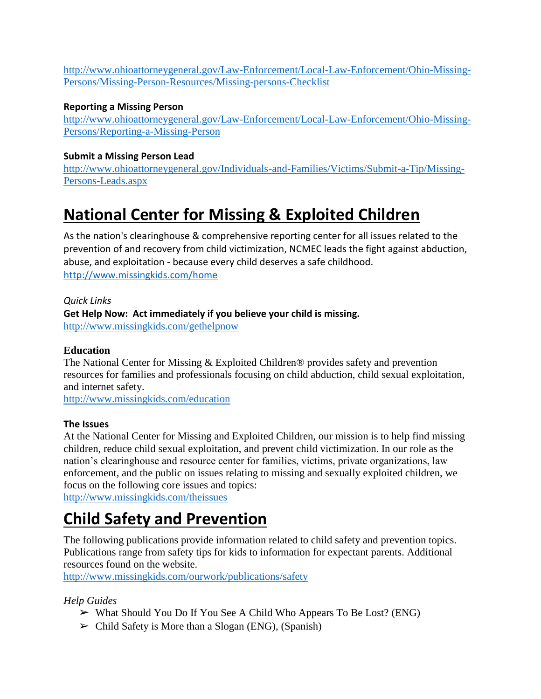[http://www.ohioattorneygeneral.gov/Law-Enforcement/Local-Law-Enforcement/Ohio-Missing-](http://www.ohioattorneygeneral.gov/Law-Enforcement/Local-Law-Enforcement/Ohio-Missing-Persons/Missing-Person-Resources/Missing-persons-Checklist)[Persons/Missing-Person-Resources/Missing-persons-Checklist](http://www.ohioattorneygeneral.gov/Law-Enforcement/Local-Law-Enforcement/Ohio-Missing-Persons/Missing-Person-Resources/Missing-persons-Checklist)

### **Reporting a Missing Person**

[http://www.ohioattorneygeneral.gov/Law-Enforcement/Local-Law-Enforcement/Ohio-Missing-](http://www.ohioattorneygeneral.gov/Law-Enforcement/Local-Law-Enforcement/Ohio-Missing-Persons/Reporting-a-Missing-Person)[Persons/Reporting-a-Missing-Person](http://www.ohioattorneygeneral.gov/Law-Enforcement/Local-Law-Enforcement/Ohio-Missing-Persons/Reporting-a-Missing-Person)

### **Submit a Missing Person Lead**

[http://www.ohioattorneygeneral.gov/Individuals-and-Families/Victims/Submit-a-Tip/Missing-](http://www.ohioattorneygeneral.gov/Individuals-and-Families/Victims/Submit-a-Tip/Missing-Persons-Leads.aspx)[Persons-Leads.aspx](http://www.ohioattorneygeneral.gov/Individuals-and-Families/Victims/Submit-a-Tip/Missing-Persons-Leads.aspx)

# **National Center for Missing & Exploited Children**

As the nation's clearinghouse & comprehensive reporting center for all issues related to the prevention of and recovery from child victimization, NCMEC leads the fight against abduction, abuse, and exploitation - because every child deserves a safe childhood. <http://www.missingkids.com/home>

*Quick Links* **Get Help Now: Act immediately if you believe your child is missing.**  <http://www.missingkids.com/gethelpnow>

### **Education**

The National Center for Missing & Exploited Children® provides safety and prevention resources for families and professionals focusing on child abduction, child sexual exploitation, and internet safety.

<http://www.missingkids.com/education>

### **The Issues**

At the National Center for Missing and Exploited Children, our mission is to help find missing children, reduce child sexual exploitation, and prevent child victimization. In our role as the nation's clearinghouse and resource center for families, victims, private organizations, law enforcement, and the public on issues relating to missing and sexually exploited children, we focus on the following core issues and topics:

<http://www.missingkids.com/theissues>

# **Child Safety and Prevention**

The following publications provide information related to child safety and prevention topics. Publications range from safety tips for kids to information for expectant parents. Additional resources found on the website.

<http://www.missingkids.com/ourwork/publications/safety>

*Help Guides*

- ➢ What Should You Do If You See A Child Who Appears To Be Lost? (ENG)
- $\triangleright$  Child Safety is More than a Slogan (ENG), (Spanish)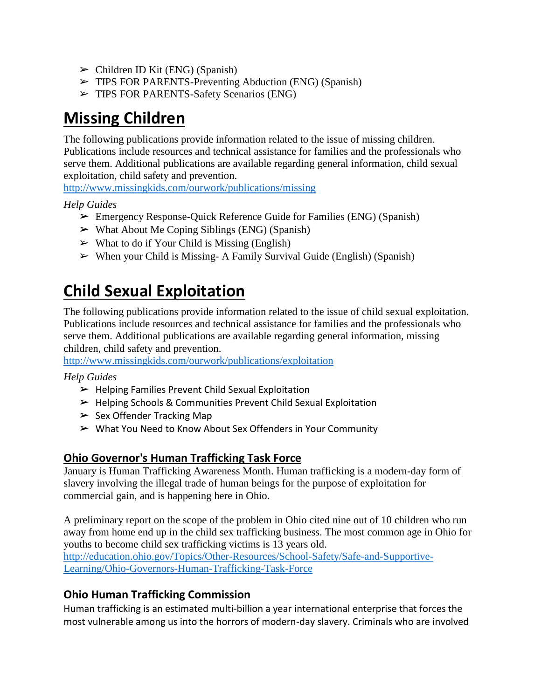- $\triangleright$  Children ID Kit (ENG) (Spanish)
- ➢ TIPS FOR PARENTS-Preventing Abduction (ENG) (Spanish)
- ➢ TIPS FOR PARENTS-Safety Scenarios (ENG)

# **Missing Children**

The following publications provide information related to the issue of missing children. Publications include resources and technical assistance for families and the professionals who serve them. Additional publications are available regarding general information, child sexual exploitation, child safety and prevention.

<http://www.missingkids.com/ourwork/publications/missing>

## *Help Guides*

- ➢ Emergency Response-Quick Reference Guide for Families (ENG) (Spanish)
- $\triangleright$  What About Me Coping Siblings (ENG) (Spanish)
- $\triangleright$  What to do if Your Child is Missing (English)
- $\triangleright$  When your Child is Missing- A Family Survival Guide (English) (Spanish)

# **Child Sexual Exploitation**

The following publications provide information related to the issue of child sexual exploitation. Publications include resources and technical assistance for families and the professionals who serve them. Additional publications are available regarding general information, missing children, child safety and prevention.

<http://www.missingkids.com/ourwork/publications/exploitation>

### *Help Guides*

- $\blacktriangleright$  Helping Families Prevent Child Sexual Exploitation
- $\triangleright$  Helping Schools & Communities Prevent Child Sexual Exploitation
- $\triangleright$  Sex Offender Tracking Map
- $\triangleright$  What You Need to Know About Sex Offenders in Your Community

## **Ohio Governor's Human Trafficking Task Force**

January is Human Trafficking Awareness Month. Human trafficking is a modern-day form of slavery involving the illegal trade of human beings for the purpose of exploitation for commercial gain, and is happening here in Ohio.

A preliminary report on the scope of the problem in Ohio cited nine out of 10 children who run away from home end up in the child sex trafficking business. The most common age in Ohio for youths to become child sex trafficking victims is 13 years old.

[http://education.ohio.gov/Topics/Other-Resources/School-Safety/Safe-and-Supportive-](http://education.ohio.gov/Topics/Other-Resources/School-Safety/Safe-and-Supportive-Learning/Ohio-Governors-Human-Trafficking-Task-Force)[Learning/Ohio-Governors-Human-Trafficking-Task-Force](http://education.ohio.gov/Topics/Other-Resources/School-Safety/Safe-and-Supportive-Learning/Ohio-Governors-Human-Trafficking-Task-Force)

## **Ohio Human Trafficking Commission**

Human trafficking is an estimated multi-billion a year international enterprise that forces the most vulnerable among us into the horrors of modern-day slavery. Criminals who are involved